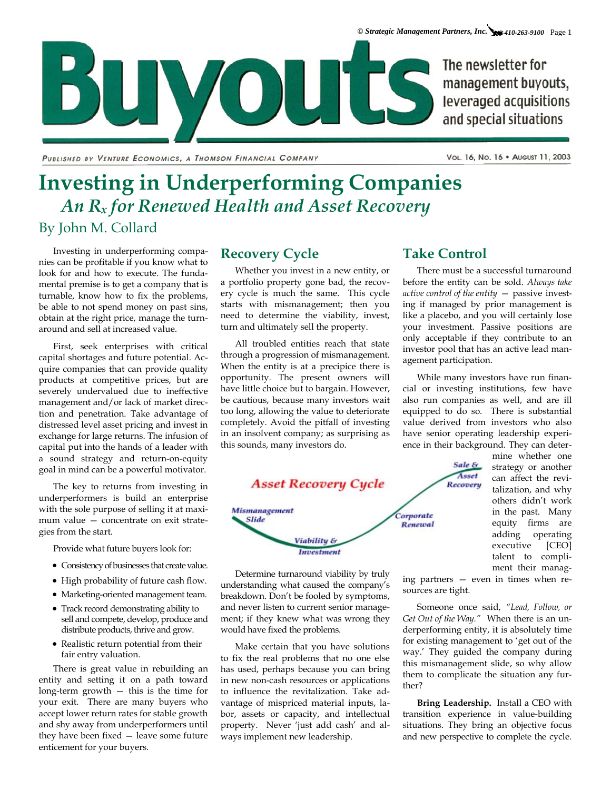The newsletter for management buyouts, leveraged acquisitions and special situations

PUBLISHED BY VENTURE ECONOMICS, A THOMSON FINANCIAL COMPANY

Vol. 16, No. 16 · August 11, 2003

# **Investing in Underperforming Companies**  *An Rx for Renewed Health and Asset Recovery*  By John M. Collard

Investing in underperforming companies can be profitable if you know what to look for and how to execute. The fundamental premise is to get a company that is turnable, know how to fix the problems, be able to not spend money on past sins, obtain at the right price, manage the turnaround and sell at increased value.

**DIU** 

First, seek enterprises with critical capital shortages and future potential. Acquire companies that can provide quality products at competitive prices, but are severely undervalued due to ineffective management and/or lack of market direction and penetration. Take advantage of distressed level asset pricing and invest in exchange for large returns. The infusion of capital put into the hands of a leader with a sound strategy and return-on-equity goal in mind can be a powerful motivator.

The key to returns from investing in underperformers is build an enterprise with the sole purpose of selling it at maximum value — concentrate on exit strategies from the start.

Provide what future buyers look for:

- Consistency of businesses that create value.
- High probability of future cash flow.
- Marketing-oriented management team.
- Track record demonstrating ability to sell and compete, develop, produce and distribute products, thrive and grow.
- Realistic return potential from their fair entry valuation.

There is great value in rebuilding an entity and setting it on a path toward long-term growth — this is the time for your exit. There are many buyers who accept lower return rates for stable growth and shy away from underperformers until they have been fixed — leave some future enticement for your buyers.

### **Recovery Cycle**

Whether you invest in a new entity, or a portfolio property gone bad, the recovery cycle is much the same. This cycle starts with mismanagement; then you need to determine the viability, invest, turn and ultimately sell the property.

VOUTS

All troubled entities reach that state through a progression of mismanagement. When the entity is at a precipice there is opportunity. The present owners will have little choice but to bargain. However, be cautious, because many investors wait too long, allowing the value to deteriorate completely. Avoid the pitfall of investing in an insolvent company; as surprising as this sounds, many investors do.



Determine turnaround viability by truly understanding what caused the company's breakdown. Don't be fooled by symptoms, and never listen to current senior management; if they knew what was wrong they would have fixed the problems.

Make certain that you have solutions to fix the real problems that no one else has used, perhaps because you can bring in new non-cash resources or applications to influence the revitalization. Take advantage of mispriced material inputs, labor, assets or capacity, and intellectual property. Never 'just add cash' and always implement new leadership.

## **Take Control**

There must be a successful turnaround before the entity can be sold. *Always take active control of the entity* — passive investing if managed by prior management is like a placebo, and you will certainly lose your investment. Passive positions are only acceptable if they contribute to an investor pool that has an active lead management participation.

While many investors have run financial or investing institutions, few have also run companies as well, and are ill equipped to do so. There is substantial value derived from investors who also have senior operating leadership experience in their background. They can deter-

> Sale & Asset

mine whether one talent to complistrategy or another can affect the revitalization, and why others didn't work in the past. Many equity firms are adding operating executive [CEO] ment their manag-

ing partners — even in times when resources are tight.

Someone once said, *"Lead, Follow, or Get Out of the Way."* When there is an underperforming entity, it is absolutely time for existing management to 'get out of the way.' They guided the company during this mismanagement slide, so why allow them to complicate the situation any further?

**Bring Leadership.** Install a CEO with transition experience in value-building situations. They bring an objective focus and new perspective to complete the cycle.